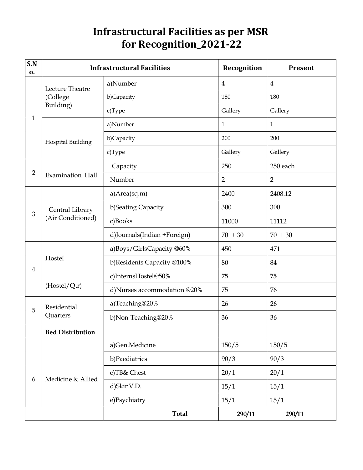## Infrastructural Facilities as per MSR for Recognition\_2021-22

| S.N<br>0.      | <b>Infrastructural Facilities</b>        |                             | Recognition    | <b>Present</b> |
|----------------|------------------------------------------|-----------------------------|----------------|----------------|
| $\mathbf{1}$   | Lecture Theatre<br>(College<br>Building) | a)Number                    | $\overline{4}$ | $\overline{4}$ |
|                |                                          | b)Capacity                  | 180            | 180            |
|                |                                          | c)Type                      | Gallery        | Gallery        |
|                | <b>Hospital Building</b>                 | a)Number                    | $\mathbf{1}$   | $\mathbf{1}$   |
|                |                                          | b)Capacity                  | 200            | 200            |
|                |                                          | c)Type                      | Gallery        | Gallery        |
|                | <b>Examination Hall</b>                  | Capacity                    | 250            | 250 each       |
| $\overline{2}$ |                                          | Number                      | $\overline{2}$ | $\overline{2}$ |
|                | Central Library<br>(Air Conditioned)     | a) Area(sq.m)               | 2400           | 2408.12        |
|                |                                          | b)Seating Capacity          | 300            | 300            |
| $\mathfrak{B}$ |                                          | c)Books                     | 11000          | 11112          |
|                |                                          | d)Journals(Indian +Foreign) | $70 + 30$      | $70 + 30$      |
|                | Hostel                                   | a)Boys/GirlsCapacity @60%   | 450            | 471            |
|                |                                          | b)Residents Capacity @100%  | 80             | 84             |
| $\overline{4}$ | (Hostel/Qtr)                             | c)InternsHostel@50%         | 75             | 75             |
|                |                                          | d)Nurses accommodation @20% | 75             | 76             |
| 5              | Residential<br>Quarters                  | a)Teaching@20%              | 26             | 26             |
|                |                                          | b)Non-Teaching@20%          | 36             | 36             |
|                | <b>Bed Distribution</b>                  |                             |                |                |
| 6              | Medicine & Allied                        | a)Gen.Medicine              | 150/5          | 150/5          |
|                |                                          | b)Paediatrics               | 90/3           | 90/3           |
|                |                                          | c)TB& Chest                 | 20/1           | 20/1           |
|                |                                          | d)SkinV.D.                  | 15/1           | 15/1           |
|                |                                          | e)Psychiatry                | 15/1           | 15/1           |
|                |                                          | <b>Total</b>                | 290/11         | 290/11         |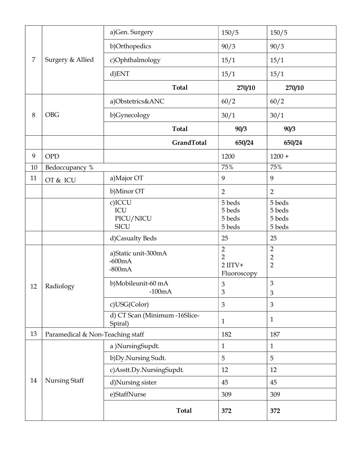| $\overline{7}$ | Surgery & Allied | a)Gen. Surgery                   | 150/5                       | 150/5                            |
|----------------|------------------|----------------------------------|-----------------------------|----------------------------------|
|                |                  | b)Orthopedics                    | 90/3                        | 90/3                             |
|                |                  | c)Ophthalmology                  | 15/1                        | 15/1                             |
|                |                  | d)ENT                            | 15/1                        | 15/1                             |
|                |                  | <b>Total</b>                     | 270/10                      | 270/10                           |
|                | <b>OBG</b>       | a)Obstetrics&ANC                 | 60/2                        | 60/2                             |
| 8              |                  | b)Gynecology                     | 30/1                        | 30/1                             |
|                |                  | <b>Total</b>                     | 90/3                        | 90/3                             |
|                |                  | GrandTotal                       | 650/24                      | 650/24                           |
| 9              | <b>OPD</b>       |                                  | 1200                        | $1200 +$                         |
| 10             | Bedoccupancy %   |                                  | 75%                         | 75%                              |
| 11             | OT & ICU         | a) Major OT                      | 9                           | 9                                |
|                |                  | b)Minor OT                       | $\overline{2}$              | $\overline{2}$                   |
|                |                  | c)ICCU                           | 5 beds                      | 5 beds                           |
|                |                  | ICU                              | 5 beds                      | 5 beds                           |
|                |                  | PICU/NICU                        | 5 beds                      | 5 beds                           |
|                |                  | <b>SICU</b>                      | 5 beds                      | 5 beds                           |
|                |                  | d)Casualty Beds                  | 25                          | 25                               |
|                | Radiology        | a)Static unit-300mA              | $\overline{2}$              | $\overline{2}$                   |
|                |                  | $-600mA$                         | $\overline{2}$<br>$2$ IITV+ | $\overline{2}$<br>$\overline{2}$ |
|                |                  | $-800mA$                         | Fluoroscopy                 |                                  |
|                |                  | b)Mobileunit-60 mA               | $\mathfrak z$               | 3                                |
| 12             |                  | $-100mA$                         | 3                           | $\mathfrak{Z}$                   |
|                |                  | c)USG(Color)                     | $\mathfrak{B}$              | 3                                |
|                |                  | d) CT Scan (Minimum -16Slice-    |                             | $\mathbf{1}$                     |
|                |                  | Spiral)                          | $\mathbf{1}$                |                                  |
| 13             |                  | Paramedical & Non-Teaching staff |                             | 187                              |
|                | Nursing Staff    | a) NursingSupdt.                 | $\mathbf{1}$                | $\mathbf{1}$                     |
|                |                  | b) Dy. Nursing Sudt.             | 5                           | 5                                |
|                |                  | c)Asstt.Dy.NursingSupdt.         | 12                          | 12                               |
| 14             |                  | d)Nursing sister                 | 45                          | 45                               |
|                |                  | e)StaffNurse                     | 309                         | 309                              |
|                |                  | <b>Total</b>                     | 372                         | 372                              |